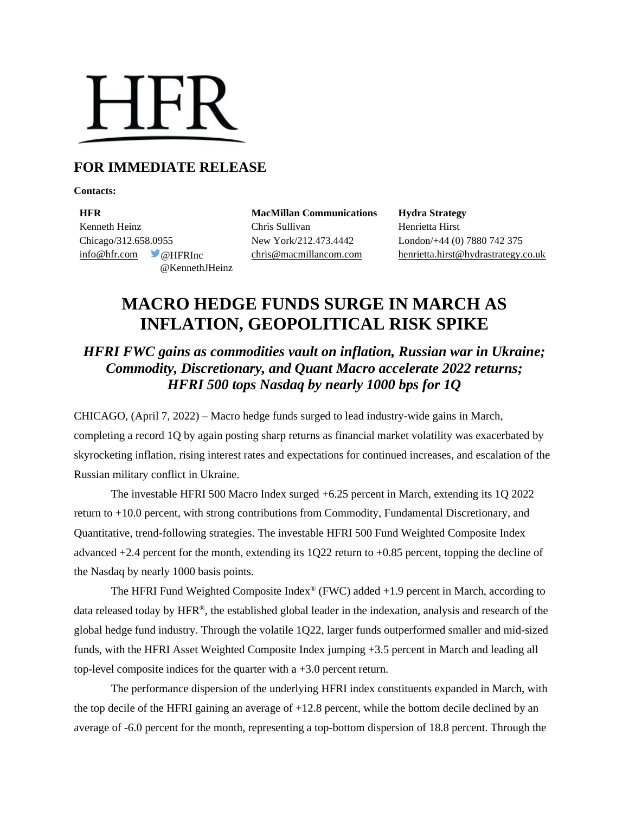# **HFR**

# **FOR IMMEDIATE RELEASE**

**Contacts:**

**HFR MacMillan Communications Hydra Strategy** Kenneth Heinz **Chris Sullivan** Chris Sullivan Henrietta Hirst Chicago/312.658.0955 New York/212.473.4442 London/+44 (0) 7880 742 375 @KennethJHeinz

[info@hfr.com](mailto:info@hfr.com) @HFRInc [chris@macmillancom.com](mailto:chris@macmillancom.com) henrietta.hirst@hydrastrategy.co.uk

# **MACRO HEDGE FUNDS SURGE IN MARCH AS INFLATION, GEOPOLITICAL RISK SPIKE**

# *HFRI FWC gains as commodities vault on inflation, Russian war in Ukraine; Commodity, Discretionary, and Quant Macro accelerate 2022 returns; HFRI 500 tops Nasdaq by nearly 1000 bps for 1Q*

CHICAGO, (April 7, 2022) – Macro hedge funds surged to lead industry-wide gains in March, completing a record 1Q by again posting sharp returns as financial market volatility was exacerbated by skyrocketing inflation, rising interest rates and expectations for continued increases, and escalation of the Russian military conflict in Ukraine.

The investable HFRI 500 Macro Index surged +6.25 percent in March, extending its 1Q 2022 return to +10.0 percent, with strong contributions from Commodity, Fundamental Discretionary, and Quantitative, trend-following strategies. The investable HFRI 500 Fund Weighted Composite Index advanced  $+2.4$  percent for the month, extending its  $1Q22$  return to  $+0.85$  percent, topping the decline of the Nasdaq by nearly 1000 basis points.

The HFRI Fund Weighted Composite Index<sup>®</sup> (FWC) added  $+1.9$  percent in March, according to data released today by HFR®, the established global leader in the indexation, analysis and research of the global hedge fund industry. Through the volatile 1Q22, larger funds outperformed smaller and mid-sized funds, with the HFRI Asset Weighted Composite Index jumping +3.5 percent in March and leading all top-level composite indices for the quarter with a +3.0 percent return.

The performance dispersion of the underlying HFRI index constituents expanded in March, with the top decile of the HFRI gaining an average of  $+12.8$  percent, while the bottom decile declined by an average of -6.0 percent for the month, representing a top-bottom dispersion of 18.8 percent. Through the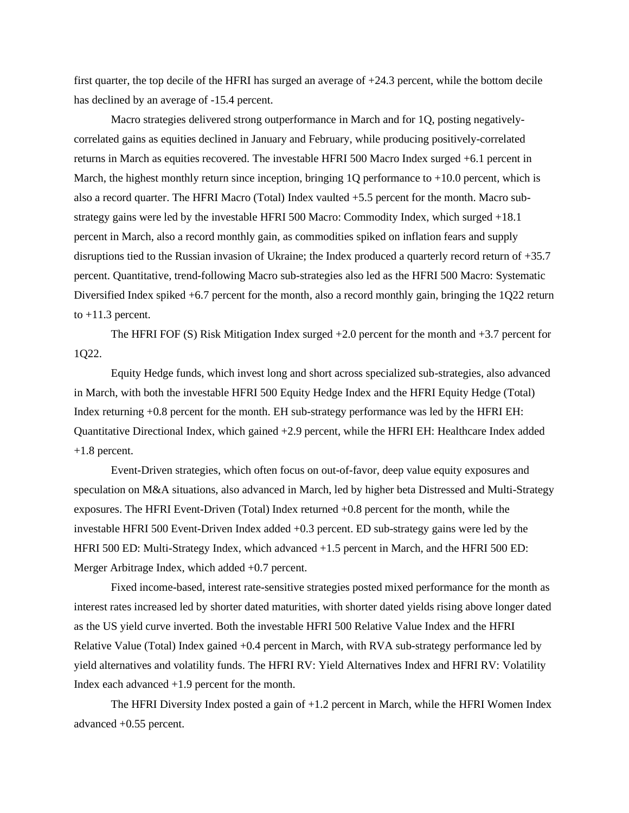first quarter, the top decile of the HFRI has surged an average of +24.3 percent, while the bottom decile has declined by an average of -15.4 percent.

Macro strategies delivered strong outperformance in March and for 1Q, posting negativelycorrelated gains as equities declined in January and February, while producing positively-correlated returns in March as equities recovered. The investable HFRI 500 Macro Index surged +6.1 percent in March, the highest monthly return since inception, bringing  $1Q$  performance to  $+10.0$  percent, which is also a record quarter. The HFRI Macro (Total) Index vaulted +5.5 percent for the month. Macro substrategy gains were led by the investable HFRI 500 Macro: Commodity Index, which surged +18.1 percent in March, also a record monthly gain, as commodities spiked on inflation fears and supply disruptions tied to the Russian invasion of Ukraine; the Index produced a quarterly record return of +35.7 percent. Quantitative, trend-following Macro sub-strategies also led as the HFRI 500 Macro: Systematic Diversified Index spiked +6.7 percent for the month, also a record monthly gain, bringing the 1Q22 return to  $+11.3$  percent.

The HFRI FOF (S) Risk Mitigation Index surged +2.0 percent for the month and +3.7 percent for 1Q22.

Equity Hedge funds, which invest long and short across specialized sub-strategies, also advanced in March, with both the investable HFRI 500 Equity Hedge Index and the HFRI Equity Hedge (Total) Index returning +0.8 percent for the month. EH sub-strategy performance was led by the HFRI EH: Quantitative Directional Index, which gained +2.9 percent, while the HFRI EH: Healthcare Index added +1.8 percent.

Event-Driven strategies, which often focus on out-of-favor, deep value equity exposures and speculation on M&A situations, also advanced in March, led by higher beta Distressed and Multi-Strategy exposures. The HFRI Event-Driven (Total) Index returned +0.8 percent for the month, while the investable HFRI 500 Event-Driven Index added +0.3 percent. ED sub-strategy gains were led by the HFRI 500 ED: Multi-Strategy Index, which advanced +1.5 percent in March, and the HFRI 500 ED: Merger Arbitrage Index, which added +0.7 percent.

Fixed income-based, interest rate-sensitive strategies posted mixed performance for the month as interest rates increased led by shorter dated maturities, with shorter dated yields rising above longer dated as the US yield curve inverted. Both the investable HFRI 500 Relative Value Index and the HFRI Relative Value (Total) Index gained +0.4 percent in March, with RVA sub-strategy performance led by yield alternatives and volatility funds. The HFRI RV: Yield Alternatives Index and HFRI RV: Volatility Index each advanced +1.9 percent for the month.

The HFRI Diversity Index posted a gain of +1.2 percent in March, while the HFRI Women Index advanced +0.55 percent.